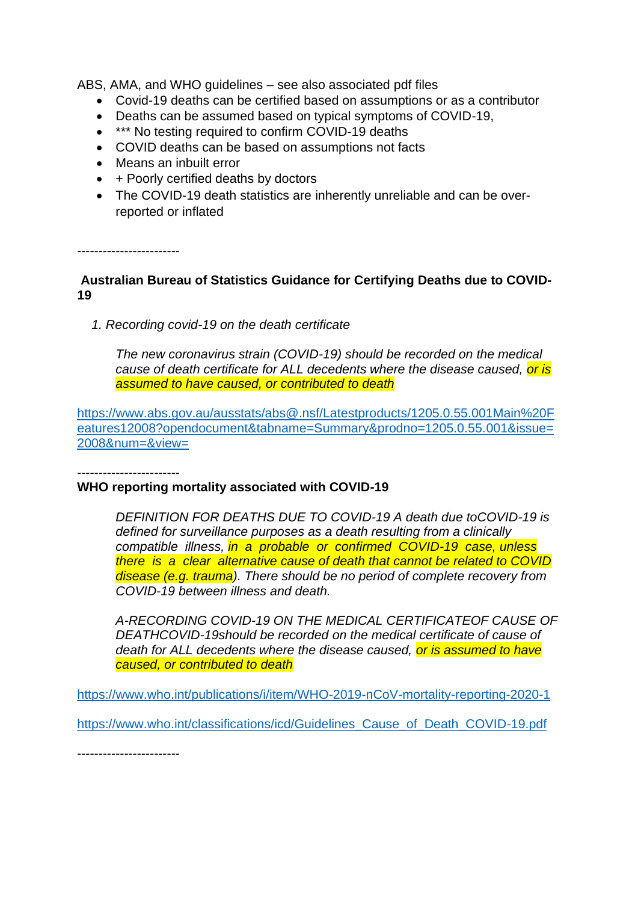ABS, AMA, and WHO guidelines – see also associated pdf files

- Covid-19 deaths can be certified based on assumptions or as a contributor
- Deaths can be assumed based on typical symptoms of COVID-19,
- \*\*\* No testing required to confirm COVID-19 deaths
- COVID deaths can be based on assumptions not facts
- Means an inbuilt error
- + Poorly certified deaths by doctors
- The COVID-19 death statistics are inherently unreliable and can be overreported or inflated

------------------------

## **Australian Bureau of Statistics Guidance for Certifying Deaths due to COVID-19**

 *1. Recording covid-19 on the death certificate*

*The new coronavirus strain (COVID-19) should be recorded on the medical cause of death certificate for ALL decedents where the disease caused, or is assumed to have caused, or contributed to death*

[https://www.abs.gov.au/ausstats/abs@.nsf/Latestproducts/1205.0.55.001Main%20F](https://www.abs.gov.au/ausstats/abs@.nsf/Latestproducts/1205.0.55.001Main%20Features12008?opendocument&tabname=Summary&prodno=1205.0.55.001&issue=2008&num=&view=) [eatures12008?opendocument&tabname=Summary&prodno=1205.0.55.001&issue=](https://www.abs.gov.au/ausstats/abs@.nsf/Latestproducts/1205.0.55.001Main%20Features12008?opendocument&tabname=Summary&prodno=1205.0.55.001&issue=2008&num=&view=) [2008&num=&view=](https://www.abs.gov.au/ausstats/abs@.nsf/Latestproducts/1205.0.55.001Main%20Features12008?opendocument&tabname=Summary&prodno=1205.0.55.001&issue=2008&num=&view=)

------------------------

### **WHO reporting mortality associated with COVID-19**

*DEFINITION FOR DEATHS DUE TO COVID-19 A death due toCOVID-19 is defined for surveillance purposes as a death resulting from a clinically compatible illness, in a probable or confirmed COVID-19 case, unless there is a clear alternative cause of death that cannot be related to COVID disease (e.g. trauma). There should be no period of complete recovery from COVID-19 between illness and death.*

*A-RECORDING COVID-19 ON THE MEDICAL CERTIFICATEOF CAUSE OF DEATHCOVID-19should be recorded on the medical certificate of cause of death for ALL decedents where the disease caused, or is assumed to have caused, or contributed to death*

<https://www.who.int/publications/i/item/WHO-2019-nCoV-mortality-reporting-2020-1>

[https://www.who.int/classifications/icd/Guidelines\\_Cause\\_of\\_Death\\_COVID-19.pdf](https://www.who.int/classifications/icd/Guidelines_Cause_of_Death_COVID-19.pdf)

------------------------